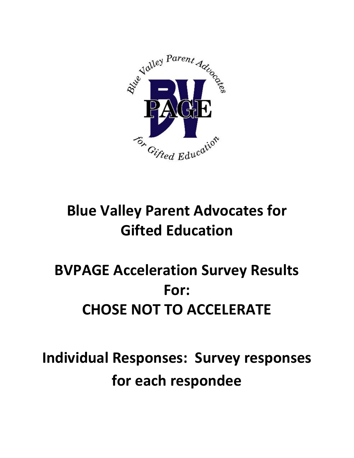

# **Blue Valley Parent Advocates for Gifted Education**

# **BVPAGE Acceleration Survey Results For: CHOSE NOT TO ACCELERATE**

**Individual Responses: Survey responses for each respondee**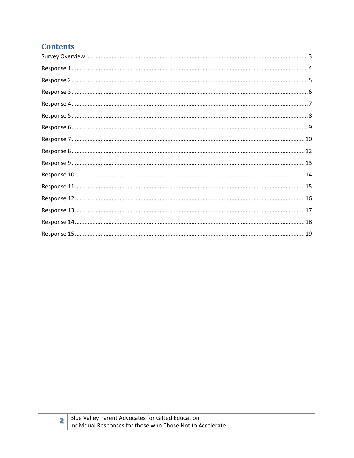# **Contents**

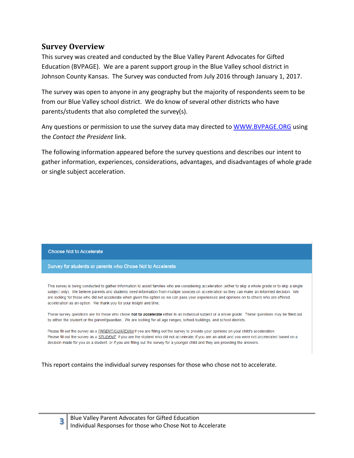## <span id="page-2-0"></span>**Survey Overview**

This survey was created and conducted by the Blue Valley Parent Advocates for Gifted Education (BVPAGE). We are a parent support group in the Blue Valley school district in Johnson County Kansas. The Survey was conducted from July 2016 through January 1, 2017.

The survey was open to anyone in any geography but the majority of respondents seem to be from our Blue Valley school district. We do know of several other districts who have parents/students that also completed the survey(s).

Any questions or permission to use the survey data may directed to [WWW.BVPAGE.ORG](http://www.bvpage.org/) using the *Contact the President* link.

The following information appeared before the survey questions and describes our intent to gather information, experiences, considerations, advantages, and disadvantages of whole grade or single subject acceleration.

#### **Choose Not to Accelerate**

Survey for students or parents who Chose Not to Accelerate

This survey is being conducted to gather information to assist families who are considering acceleration (either to skip a whole grade or to skip a single subject only). We believe parents and students need information from multiple sources on acceleration so they can make an informed decision. We are looking for those who did not accelerate when given the option so we can pass your experiences and opinions on to others who are offered acceleration as an option. We thank you for your insight and time.

These survey questions are for those who chose not to accelerate either in an individual subject or a whole grade. These questions may be filled out by either the student or the parent/quardian. We are looking for all age ranges, school buildings, and school districts.

Please fill out the survey as a PARENT/GUARDIAN if you are filling out the survey to provide your opinions on your child's acceleration. Please fill out the survey as a STUDENT, if you are the student who did not accelerate, if you are an adult and you were not accelerated based on a decision made for you as a student, or if you are filling out the survey for a younger child and they are providing the answers.

This report contains the individual survey responses for those who chose not to accelerate.

**3**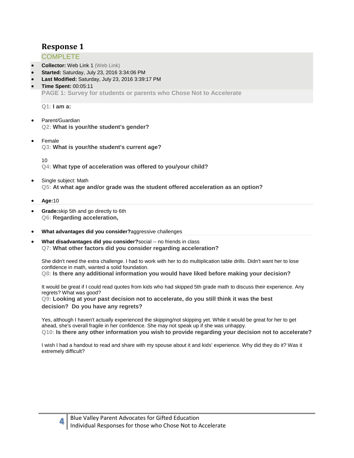## <span id="page-3-0"></span>**COMPLETE**

- **Collector:** Web Link 1 (Web Link)
- **Started:** Saturday, July 23, 2016 3:34:06 PM
- **Last Modified:** Saturday, July 23, 2016 3:39:17 PM
- **Time Spent:** 00:05:11 **PAGE 1: Survey for students or parents who Chose Not to Accelerate**

**Q1: I am a:**

- Parent/Guardian **Q2: What is your/the student's gender?**
- Female **Q3: What is your/the student's current age?**

10

**Q4: What type of acceleration was offered to you/your child?**

- Single subject: Math **Q5: At what age and/or grade was the student offered acceleration as an option?**
- **Age:**10
- **Grade:**skip 5th and go directly to 6th **Q6: Regarding acceleration,**
- **What advantages did you consider?**aggressive challenges
- **What disadvantages did you consider?**social -- no friends in class **Q7: What other factors did you consider regarding acceleration?**

She didn't need the extra challenge. I had to work with her to do multiplication table drills. Didn't want her to lose confidence in math, wanted a solid foundation.

**Q8: Is there any additional information you would have liked before making your decision?**

It would be great if I could read quotes from kids who had skipped 5th grade math to discuss their experience. Any regrets? What was good?

**Q9: Looking at your past decision not to accelerate, do you still think it was the best decision? Do you have any regrets?**

Yes, although I haven't actually experienced the skipping/not skipping yet. While it would be great for her to get ahead, she's overall fragile in her confidence. She may not speak up if she was unhappy. **Q10: Is there any other information you wish to provide regarding your decision not to accelerate?**

I wish I had a handout to read and share with my spouse about it and kids' experience. Why did they do it? Was it extremely difficult?

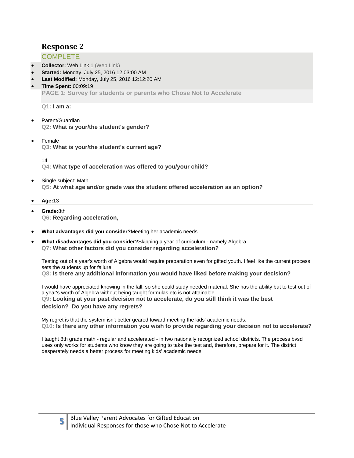## <span id="page-4-0"></span>**COMPLETE**

- **Collector:** Web Link 1 (Web Link)
- **Started:** Monday, July 25, 2016 12:03:00 AM
- **Last Modified:** Monday, July 25, 2016 12:12:20 AM
- **Time Spent:** 00:09:19 **PAGE 1: Survey for students or parents who Chose Not to Accelerate**

**Q1: I am a:**

- Parent/Guardian **Q2: What is your/the student's gender?**
- Female **Q3: What is your/the student's current age?**

14

**Q4: What type of acceleration was offered to you/your child?**

- Single subject: Math **Q5: At what age and/or grade was the student offered acceleration as an option?**
- **Age:**13
- **Grade:**8th **Q6: Regarding acceleration,**

**5**

- **What advantages did you consider?**Meeting her academic needs
- **What disadvantages did you consider?**Skipping a year of curriculum namely Algebra **Q7: What other factors did you consider regarding acceleration?**

Testing out of a year's worth of Algebra would require preparation even for gifted youth. I feel like the current process sets the students up for failure.

**Q8: Is there any additional information you would have liked before making your decision?**

I would have appreciated knowing in the fall, so she could study needed material. She has the ability but to test out of a year's worth of Algebra without being taught formulas etc is not attainable. **Q9: Looking at your past decision not to accelerate, do you still think it was the best decision? Do you have any regrets?**

My regret is that the system isn't better geared toward meeting the kids' academic needs. **Q10: Is there any other information you wish to provide regarding your decision not to accelerate?**

I taught 8th grade math - regular and accelerated - in two nationally recognized school districts. The process bvsd uses only works for students who know they are going to take the test and, therefore, prepare for it. The district desperately needs a better process for meeting kids' academic needs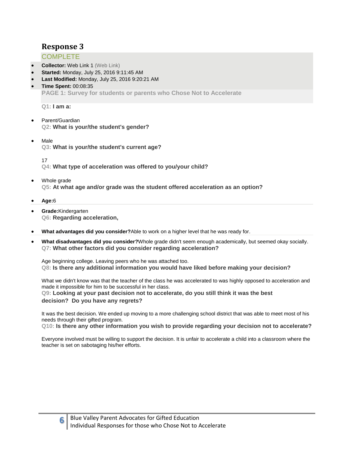## <span id="page-5-0"></span>**COMPLETE**

- **Collector:** Web Link 1 (Web Link)
- **Started:** Monday, July 25, 2016 9:11:45 AM
- **Last Modified:** Monday, July 25, 2016 9:20:21 AM
- **Time Spent:** 00:08:35 **PAGE 1: Survey for students or parents who Chose Not to Accelerate**

**Q1: I am a:**

- Parent/Guardian **Q2: What is your/the student's gender?**
- Male **Q3: What is your/the student's current age?**

17

**Q4: What type of acceleration was offered to you/your child?**

- Whole grade **Q5: At what age and/or grade was the student offered acceleration as an option?**
- **Age:**6
- **Grade:**Kindergarten **Q6: Regarding acceleration,**
- **What advantages did you consider?**Able to work on a higher level that he was ready for.
- **What disadvantages did you consider?**Whole grade didn't seem enough academically, but seemed okay socially. **Q7: What other factors did you consider regarding acceleration?**

Age beginning college. Leaving peers who he was attached too. **Q8: Is there any additional information you would have liked before making your decision?**

What we didn't know was that the teacher of the class he was accelerated to was highly opposed to acceleration and made it impossible for him to be successful in her class.

**Q9: Looking at your past decision not to accelerate, do you still think it was the best** 

**decision? Do you have any regrets?**

**6**

It was the best decision. We ended up moving to a more challenging school district that was able to meet most of his needs through their gifted program.

**Q10: Is there any other information you wish to provide regarding your decision not to accelerate?**

Everyone involved must be willing to support the decision. It is unfair to accelerate a child into a classroom where the teacher is set on sabotaging his/her efforts.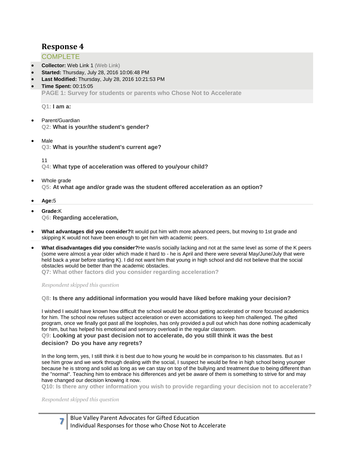## <span id="page-6-0"></span>**COMPLETE**

- **Collector:** Web Link 1 (Web Link)
- **Started:** Thursday, July 28, 2016 10:06:48 PM
- **Last Modified:** Thursday, July 28, 2016 10:21:53 PM
- **Time Spent:** 00:15:05 **PAGE 1: Survey for students or parents who Chose Not to Accelerate**

**Q1: I am a:**

- Parent/Guardian **Q2: What is your/the student's gender?**
- Male **Q3: What is your/the student's current age?**

11

**Q4: What type of acceleration was offered to you/your child?**

 Whole grade **Q5: At what age and/or grade was the student offered acceleration as an option?**

**Age:**5

- **Grade:**K **Q6: Regarding acceleration,**
- **What advantages did you consider?**It would put him with more advanced peers, but moving to 1st grade and skipping K would not have been enough to get him with academic peers.
- **What disadvantages did you consider?**He was/is socially lacking and not at the same level as some of the K peers (some were almost a year older which made it hard to - he is April and there were several May/June/July that were held back a year before starting K). I did not want him that young in high school and did not believe that the social obstacles would be better than the academic obstacles.

**Q7: What other factors did you consider regarding acceleration?**

*Respondent skipped this question*

#### **Q8: Is there any additional information you would have liked before making your decision?**

I wished I would have known how difficult the school would be about getting accelerated or more focused academics for him. The school now refuses subject acceleration or even accomidations to keep him challenged. The gifted program, once we finally got past all the loopholes, has only provided a pull out which has done nothing academically for him, but has helped his emotional and sensory overload in the regular classroom.

# **Q9: Looking at your past decision not to accelerate, do you still think it was the best**

#### **decision? Do you have any regrets?**

In the long term, yes, I still think it is best due to how young he would be in comparison to his classmates. But as I see him grow and we work through dealing with the social, I suspect he would be fine in high school being younger because he is strong and solid as long as we can stay on top of the bullying and treatment due to being different than the "normal". Teaching him to embrace his differences and yet be aware of them is something to strive for and may have changed our decision knowing it now.

**Q10: Is there any other information you wish to provide regarding your decision not to accelerate?**

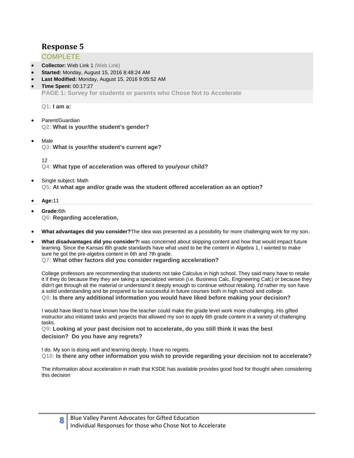## <span id="page-7-0"></span>**COMPLETE**

- **Collector:** Web Link 1 (Web Link)
- **Started:** Monday, August 15, 2016 8:48:24 AM
- **Last Modified:** Monday, August 15, 2016 9:05:52 AM
- **Time Spent:** 00:17:27 **PAGE 1: Survey for students or parents who Chose Not to Accelerate**

**Q1: I am a:**

- Parent/Guardian **Q2: What is your/the student's gender?**
- Male **Q3: What is your/the student's current age?**

12

**Q4: What type of acceleration was offered to you/your child?**

- Single subject: Math **Q5: At what age and/or grade was the student offered acceleration as an option?**
- **Age:**11
- **Grade:**6th **Q6: Regarding acceleration,**
- **What advantages did you consider?**The idea was presented as a possibility for more challenging work for my son.
- **What disadvantages did you consider?**I was concerned about skipping content and how that would impact future learning. Since the Kansas 8th grade standards have what used to be the content in Algebra 1, I wanted to make sure he got the pre-algebra content in 6th and 7th grade. **Q7: What other factors did you consider regarding acceleration?**

College professors are recommending that students not take Calculus in high school. They said many have to retake it if they do because they they are taking a specialized version (i.e. Business Calc, Engineering Calc) or because they didn't get through all the material or understand it deeply enough to continue without retaking. I'd rather my son have a solid understanding and be prepared to be successful in future courses both in high school and college. **Q8: Is there any additional information you would have liked before making your decision?**

I would have liked to have known how the teacher could make the grade level work more challenging. His gifted instructor also initiated tasks and projects that allowed my son to apply 6th grade content in a variety of challenging tasks.

**Q9: Looking at your past decision not to accelerate, do you still think it was the best decision? Do you have any regrets?**

I do. My son is doing well and learning deeply. I have no regrets. **Q10: Is there any other information you wish to provide regarding your decision not to accelerate?**

The information about acceleration in math that KSDE has available provides good food for thought when considering this decision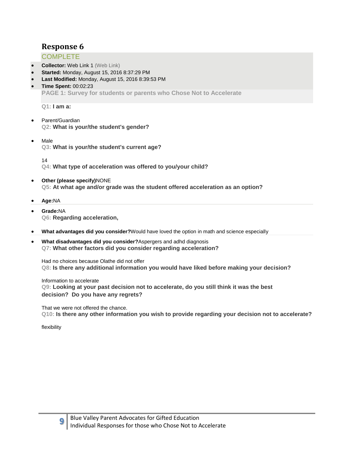## <span id="page-8-0"></span>**COMPLETE**

- **Collector:** Web Link 1 (Web Link)
- **Started:** Monday, August 15, 2016 8:37:29 PM
- **Last Modified:** Monday, August 15, 2016 8:39:53 PM
- **Time Spent:** 00:02:23 **PAGE 1: Survey for students or parents who Chose Not to Accelerate**

**Q1: I am a:**

- Parent/Guardian **Q2: What is your/the student's gender?**
- Male **Q3: What is your/the student's current age?**

14

**Q4: What type of acceleration was offered to you/your child?**

- **Other (please specify)**NONE **Q5: At what age and/or grade was the student offered acceleration as an option?**
- **Age:**NA
- **Grade:**NA **Q6: Regarding acceleration,**
- **What advantages did you consider?**Would have loved the option in math and science especially
- **What disadvantages did you consider?**Aspergers and adhd diagnosis **Q7: What other factors did you consider regarding acceleration?**

Had no choices because Olathe did not offer **Q8: Is there any additional information you would have liked before making your decision?**

Information to accelerate **Q9: Looking at your past decision not to accelerate, do you still think it was the best decision? Do you have any regrets?**

That we were not offered the chance. **Q10: Is there any other information you wish to provide regarding your decision not to accelerate?**

flexibility

**9**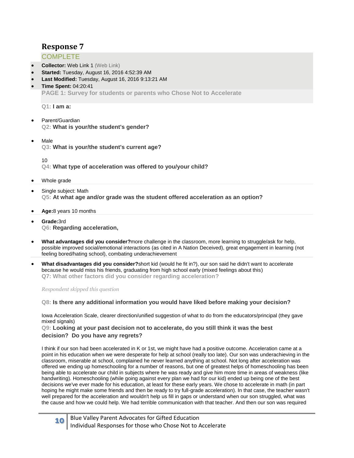## <span id="page-9-0"></span>**COMPLETE**

- **Collector:** Web Link 1 (Web Link)
- **Started:** Tuesday, August 16, 2016 4:52:39 AM
- **Last Modified:** Tuesday, August 16, 2016 9:13:21 AM
- **Time Spent:** 04:20:41 **PAGE 1: Survey for students or parents who Chose Not to Accelerate**

**Q1: I am a:**

- Parent/Guardian **Q2: What is your/the student's gender?**
- Male **Q3: What is your/the student's current age?**

10

**Q4: What type of acceleration was offered to you/your child?**

- Whole grade
- Single subject: Math **Q5: At what age and/or grade was the student offered acceleration as an option?**
- **Age:**8 years 10 months
- **Grade:**3rd **Q6: Regarding acceleration,**
- **What advantages did you consider?**more challenge in the classroom, more learning to struggle/ask for help, possible improved social/emotional interactions (as cited in A Nation Deceived), great engagement in learning (not feeling bored/hating school), combating underachievement
- **What disadvantages did you consider?**short kid (would he fit in?), our son said he didn't want to accelerate because he would miss his friends, graduating from high school early (mixed feelings about this) **Q7: What other factors did you consider regarding acceleration?**

*Respondent skipped this question*

#### **Q8: Is there any additional information you would have liked before making your decision?**

Iowa Acceleration Scale, clearer direction/unified suggestion of what to do from the educators/principal (they gave mixed signals)

**Q9: Looking at your past decision not to accelerate, do you still think it was the best decision? Do you have any regrets?**

I think if our son had been accelerated in K or 1st, we might have had a positive outcome. Acceleration came at a point in his education when we were desperate for help at school (really too late). Our son was underachieving in the classroom, miserable at school, complained he never learned anything at school. Not long after acceleration was offered we ending up homeschooling for a number of reasons, but one of greatest helps of homeschooling has been being able to accelerate our child in subjects where he was ready and give him more time in areas of weakness (like handwriting). Homeschooling (while going against every plan we had for our kid) ended up being one of the best decisions we've ever made for his education, at least for these early years. We chose to accelerate in math (in part hoping he might make some friends and then be ready to try full-grade acceleration). In that case, the teacher wasn't well prepared for the acceleration and wouldn't help us fill in gaps or understand when our son struggled, what was the cause and how we could help. We had terrible communication with that teacher. And then our son was required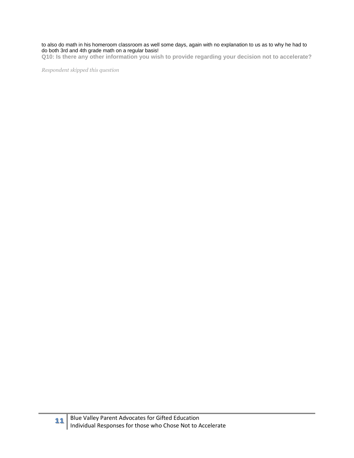#### to also do math in his homeroom classroom as well some days, again with no explanation to us as to why he had to do both 3rd and 4th grade math on a regular basis!

**Q10: Is there any other information you wish to provide regarding your decision not to accelerate?**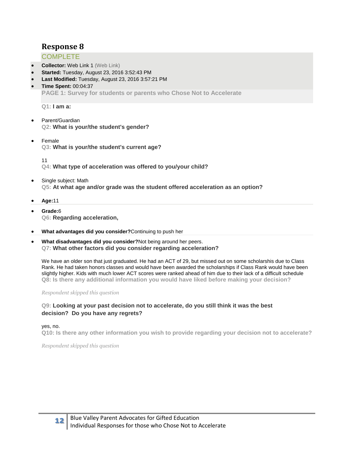## <span id="page-11-0"></span>**COMPLETE**

- **Collector:** Web Link 1 (Web Link)
- **Started:** Tuesday, August 23, 2016 3:52:43 PM
- **Last Modified:** Tuesday, August 23, 2016 3:57:21 PM
- **Time Spent:** 00:04:37 **PAGE 1: Survey for students or parents who Chose Not to Accelerate**

**Q1: I am a:**

- Parent/Guardian **Q2: What is your/the student's gender?**
- Female **Q3: What is your/the student's current age?**

11

**Q4: What type of acceleration was offered to you/your child?**

- Single subject: Math **Q5: At what age and/or grade was the student offered acceleration as an option?**
- **Age:**11
- **Grade:**6 **Q6: Regarding acceleration,**
- **What advantages did you consider?**Continuing to push her
- **What disadvantages did you consider?**Not being around her peers. **Q7: What other factors did you consider regarding acceleration?**

We have an older son that just graduated. He had an ACT of 29, but missed out on some scholarshis due to Class Rank. He had taken honors classes and would have been awarded the scholarships if Class Rank would have been slightly higher. Kids with much lower ACT scores were ranked ahead of him due to their lack of a difficult schedule **Q8: Is there any additional information you would have liked before making your decision?**

#### *Respondent skipped this question*

#### **Q9: Looking at your past decision not to accelerate, do you still think it was the best decision? Do you have any regrets?**

yes, no.

**Q10: Is there any other information you wish to provide regarding your decision not to accelerate?**

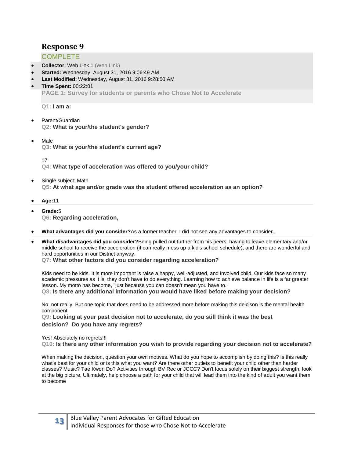## <span id="page-12-0"></span>**COMPLETE**

- **Collector:** Web Link 1 (Web Link)
- **Started:** Wednesday, August 31, 2016 9:06:49 AM
- **Last Modified:** Wednesday, August 31, 2016 9:28:50 AM
- **Time Spent:** 00:22:01 **PAGE 1: Survey for students or parents who Chose Not to Accelerate**

**Q1: I am a:**

- Parent/Guardian **Q2: What is your/the student's gender?**
- Male **Q3: What is your/the student's current age?**

17

**Q4: What type of acceleration was offered to you/your child?**

- Single subject: Math **Q5: At what age and/or grade was the student offered acceleration as an option?**
- **Age:**11
- **Grade:**5 **Q6: Regarding acceleration,**
- **What advantages did you consider?**As a former teacher, I did not see any advantages to consider.
- **What disadvantages did you consider?**Being pulled out further from his peers, having to leave elementary and/or middle school to receive the acceleration (it can really mess up a kid's school schedule), and there are wonderful and hard opportunities in our District anyway.

**Q7: What other factors did you consider regarding acceleration?**

Kids need to be kids. It is more important is raise a happy, well-adjusted, and involved child. Our kids face so many academic pressures as it is, they don't have to do everything. Learning how to achieve balance in life is a far greater lesson. My motto has become, "just because you can doesn't mean you have to." **Q8: Is there any additional information you would have liked before making your decision?**

No, not really. But one topic that does need to be addressed more before making this deicison is the mental health component.

**Q9: Looking at your past decision not to accelerate, do you still think it was the best decision? Do you have any regrets?**

Yes! Absolutely no regrets!!!

**Q10: Is there any other information you wish to provide regarding your decision not to accelerate?**

When making the decision, question your own motives. What do you hope to accomplish by doing this? Is this really what's best for your child or is this what you want? Are there other outlets to benefit your child other than harder classes? Music? Tae Kwon Do? Activities through BV Rec or JCCC? Don't focus solely on their biggest strength, look at the big picture. Ultimately, help choose a path for your child that will lead them into the kind of adult you want them to become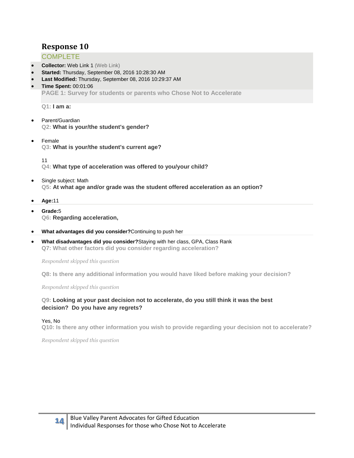## <span id="page-13-0"></span>**COMPLETE**

- **Collector:** Web Link 1 (Web Link)
- **Started:** Thursday, September 08, 2016 10:28:30 AM
- **Last Modified:** Thursday, September 08, 2016 10:29:37 AM
- **Time Spent:** 00:01:06 **PAGE 1: Survey for students or parents who Chose Not to Accelerate**

**Q1: I am a:**

- Parent/Guardian **Q2: What is your/the student's gender?**
- Female **Q3: What is your/the student's current age?**

11

**Q4: What type of acceleration was offered to you/your child?**

- Single subject: Math **Q5: At what age and/or grade was the student offered acceleration as an option?**
- **Age:**11
- **Grade:**5 **Q6: Regarding acceleration,**
- **What advantages did you consider?**Continuing to push her
- **What disadvantages did you consider?**Staying with her class, GPA, Class Rank **Q7: What other factors did you consider regarding acceleration?**

*Respondent skipped this question*

**Q8: Is there any additional information you would have liked before making your decision?**

*Respondent skipped this question*

#### **Q9: Looking at your past decision not to accelerate, do you still think it was the best decision? Do you have any regrets?**

#### Yes, No

**Q10: Is there any other information you wish to provide regarding your decision not to accelerate?**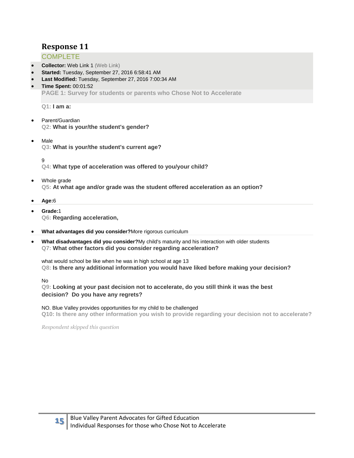## <span id="page-14-0"></span>**COMPLETE**

- **Collector:** Web Link 1 (Web Link)
- **Started:** Tuesday, September 27, 2016 6:58:41 AM
- **Last Modified:** Tuesday, September 27, 2016 7:00:34 AM
- **Time Spent:** 00:01:52 **PAGE 1: Survey for students or parents who Chose Not to Accelerate**

**Q1: I am a:**

- Parent/Guardian **Q2: What is your/the student's gender?**
- Male **Q3: What is your/the student's current age?**

9

**Q4: What type of acceleration was offered to you/your child?**

- Whole grade **Q5: At what age and/or grade was the student offered acceleration as an option?**
- **Age:**6
- **Grade:**1 **Q6: Regarding acceleration,**
- **What advantages did you consider?**More rigorous curriculum
- **What disadvantages did you consider?**My child's maturity and his interaction with older students **Q7: What other factors did you consider regarding acceleration?**

what would school be like when he was in high school at age 13 **Q8: Is there any additional information you would have liked before making your decision?**

#### No

**Q9: Looking at your past decision not to accelerate, do you still think it was the best decision? Do you have any regrets?**

NO. Blue Valley provides opportunities for my child to be challenged **Q10: Is there any other information you wish to provide regarding your decision not to accelerate?**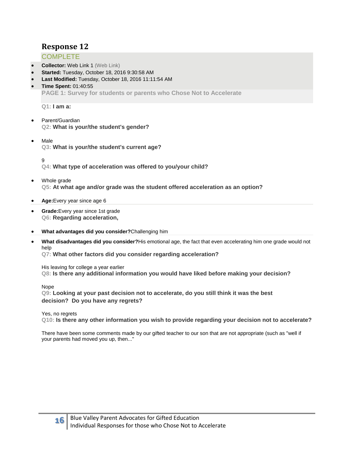#### <span id="page-15-0"></span>**COMPLETE**

- **Collector:** Web Link 1 (Web Link)
- **Started:** Tuesday, October 18, 2016 9:30:58 AM
- **Last Modified:** Tuesday, October 18, 2016 11:11:54 AM
- **Time Spent:** 01:40:55 **PAGE 1: Survey for students or parents who Chose Not to Accelerate**

**Q1: I am a:**

- Parent/Guardian **Q2: What is your/the student's gender?**
- Male **Q3: What is your/the student's current age?**

9

**Q4: What type of acceleration was offered to you/your child?**

- Whole grade **Q5: At what age and/or grade was the student offered acceleration as an option?**
- **Age:**Every year since age 6
- **Grade:**Every year since 1st grade **Q6: Regarding acceleration,**
- **What advantages did you consider?**Challenging him
- **What disadvantages did you consider?**His emotional age, the fact that even accelerating him one grade would not help

**Q7: What other factors did you consider regarding acceleration?**

His leaving for college a year earlier **Q8: Is there any additional information you would have liked before making your decision?**

Nope

**Q9: Looking at your past decision not to accelerate, do you still think it was the best decision? Do you have any regrets?**

Yes, no regrets

**Q10: Is there any other information you wish to provide regarding your decision not to accelerate?**

There have been some comments made by our gifted teacher to our son that are not appropriate (such as "well if your parents had moved you up, then..."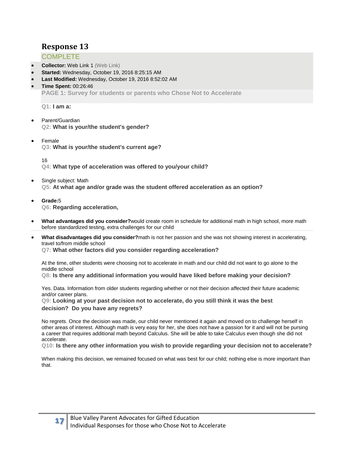## <span id="page-16-0"></span>**COMPLETE**

- **Collector:** Web Link 1 (Web Link)
- **Started:** Wednesday, October 19, 2016 8:25:15 AM
- **Last Modified:** Wednesday, October 19, 2016 8:52:02 AM
- **Time Spent:** 00:26:46 **PAGE 1: Survey for students or parents who Chose Not to Accelerate**

**Q1: I am a:**

- Parent/Guardian **Q2: What is your/the student's gender?**
- Female **Q3: What is your/the student's current age?**

16

**Q4: What type of acceleration was offered to you/your child?**

- Single subject: Math **Q5: At what age and/or grade was the student offered acceleration as an option?**
- **Grade:**5 **Q6: Regarding acceleration,**
- **What advantages did you consider?**would create room in schedule for additional math in high school, more math before standardized testing, extra challenges for our child
- **What disadvantages did you consider?**math is not her passion and she was not showing interest in accelerating, travel to/from middle school **Q7: What other factors did you consider regarding acceleration?**

At the time, other students were choosing not to accelerate in math and our child did not want to go alone to the middle school

**Q8: Is there any additional information you would have liked before making your decision?**

Yes. Data. Information from older students regarding whether or not their decision affected their future academic and/or career plans.

**Q9: Looking at your past decision not to accelerate, do you still think it was the best decision? Do you have any regrets?**

No regrets. Once the decision was made, our child never mentioned it again and moved on to challenge herself in other areas of interest. Although math is very easy for her, she does not have a passion for it and will not be pursing a career that requires additional math beyond Calculus. She will be able to take Calculus even though she did not accelerate.

**Q10: Is there any other information you wish to provide regarding your decision not to accelerate?**

When making this decision, we remained focused on what was best for our child; nothing else is more important than that.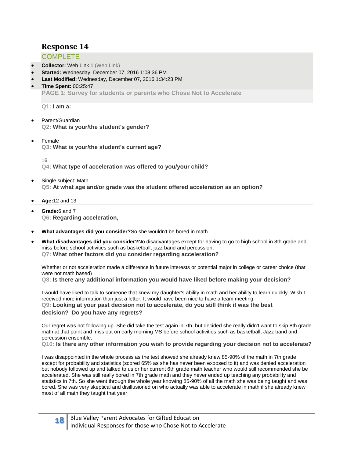## <span id="page-17-0"></span>**COMPLETE**

- **Collector:** Web Link 1 (Web Link)
- **Started:** Wednesday, December 07, 2016 1:08:36 PM
- **Last Modified:** Wednesday, December 07, 2016 1:34:23 PM
- **Time Spent:** 00:25:47 **PAGE 1: Survey for students or parents who Chose Not to Accelerate**

**Q1: I am a:**

- Parent/Guardian **Q2: What is your/the student's gender?**
- Female **Q3: What is your/the student's current age?**

16

**Q4: What type of acceleration was offered to you/your child?**

- Single subject: Math **Q5: At what age and/or grade was the student offered acceleration as an option?**
- **Age:**12 and 13
- **Grade:**6 and 7 **Q6: Regarding acceleration,**
- **What advantages did you consider?**So she wouldn't be bored in math
- **What disadvantages did you consider?**No disadvantages except for having to go to high school in 8th grade and miss before school activities such as basketball, jazz band and percussion. **Q7: What other factors did you consider regarding acceleration?**

Whether or not acceleration made a difference in future interests or potential major in college or career choice (that were not math based)

**Q8: Is there any additional information you would have liked before making your decision?**

I would have liked to talk to someone that knew my daughter's ability in math and her ability to learn quickly. Wish I received more information than just a letter. It would have been nice to have a team meeting. **Q9: Looking at your past decision not to accelerate, do you still think it was the best decision? Do you have any regrets?**

Our regret was not following up. She did take the test again in 7th, but decided she really didn't want to skip 8th grade math at that point and miss out on early morning MS before school activities such as basketball, Jazz band and percussion ensemble.

**Q10: Is there any other information you wish to provide regarding your decision not to accelerate?**

I was disappointed in the whole process as the test showed she already knew 85-90% of the math in 7th grade except for probability and statistics (scored 65% as she has never been exposed to it) and was denied acceleration but nobody followed up and talked to us or her current 6th grade math teacher who would still recommended she be accelerated. She was still really bored in 7th grade math and they never ended up teaching any probability and statistics in 7th. So she went through the whole year knowing 85-90% of all the math she was being taught and was bored. She was very skeptical and disillusioned on who actually was able to accelerate in math if she already knew most of all math they taught that year